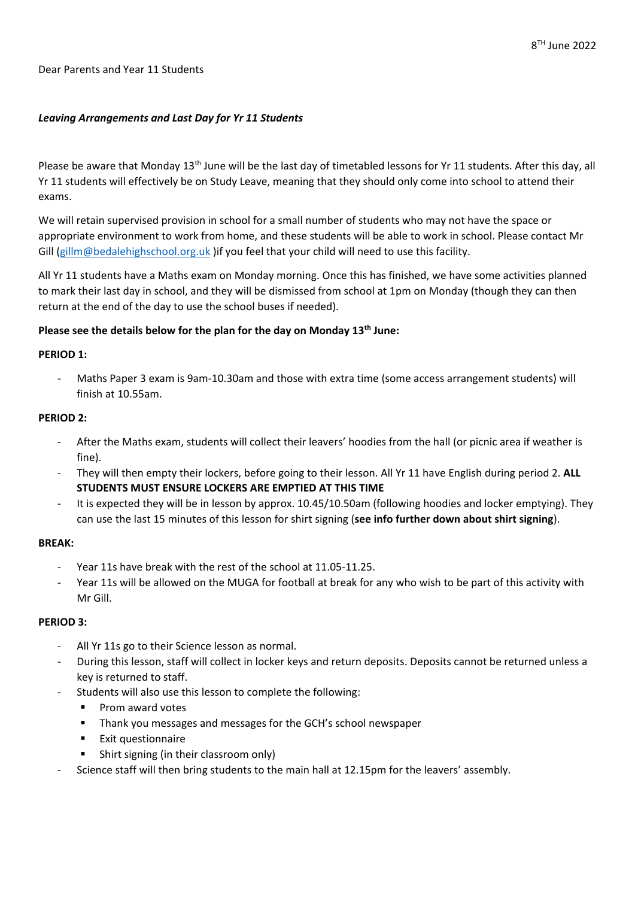#### Dear Parents and Year 11 Students

### *Leaving Arrangements and Last Day for Yr 11 Students*

Please be aware that Monday 13<sup>th</sup> June will be the last day of timetabled lessons for Yr 11 students. After this day, all Yr 11 students will effectively be on Study Leave, meaning that they should only come into school to attend their exams.

We will retain supervised provision in school for a small number of students who may not have the space or appropriate environment to work from home, and these students will be able to work in school. Please contact Mr Gill [\(gillm@bedalehighschool.org.uk](mailto:gillm@bedalehighschool.org.uk) )if you feel that your child will need to use this facility.

All Yr 11 students have a Maths exam on Monday morning. Once this has finished, we have some activities planned to mark their last day in school, and they will be dismissed from school at 1pm on Monday (though they can then return at the end of the day to use the school buses if needed).

### **Please see the details below for the plan for the day on Monday 13th June:**

### **PERIOD 1:**

- Maths Paper 3 exam is 9am-10.30am and those with extra time (some access arrangement students) will finish at 10.55am.

## **PERIOD 2:**

- After the Maths exam, students will collect their leavers' hoodies from the hall (or picnic area if weather is fine).
- They will then empty their lockers, before going to their lesson. All Yr 11 have English during period 2. **ALL STUDENTS MUST ENSURE LOCKERS ARE EMPTIED AT THIS TIME**
- It is expected they will be in lesson by approx. 10.45/10.50am (following hoodies and locker emptying). They can use the last 15 minutes of this lesson for shirt signing (**see info further down about shirt signing**).

### **BREAK:**

- Year 11s have break with the rest of the school at 11.05-11.25.
- Year 11s will be allowed on the MUGA for football at break for any who wish to be part of this activity with Mr Gill.

### **PERIOD 3:**

- All Yr 11s go to their Science lesson as normal.
- During this lesson, staff will collect in locker keys and return deposits. Deposits cannot be returned unless a key is returned to staff.
- Students will also use this lesson to complete the following:
	- Prom award votes
	- Thank you messages and messages for the GCH's school newspaper
	- Exit questionnaire
	- Shirt signing (in their classroom only)
- Science staff will then bring students to the main hall at 12.15pm for the leavers' assembly.